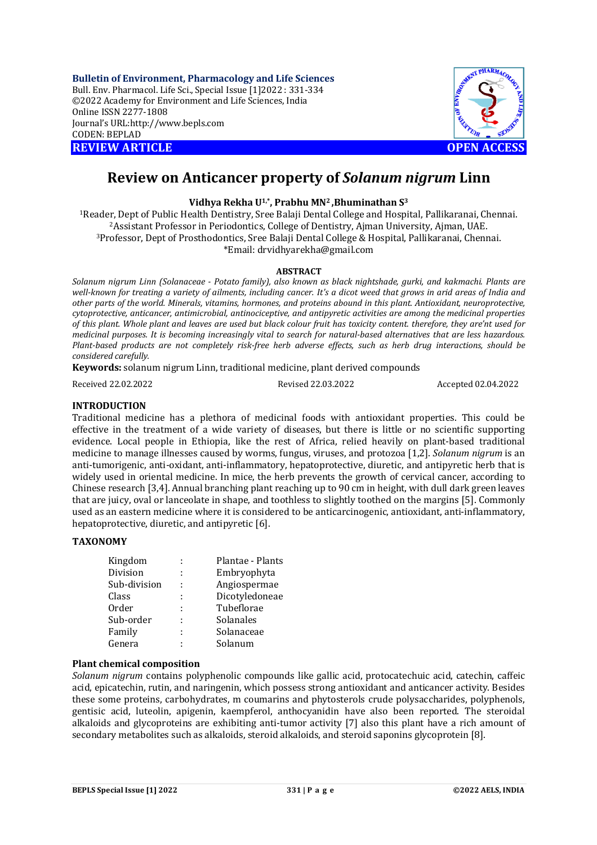**Bulletin of Environment, Pharmacology and Life Sciences** Bull. Env. Pharmacol. Life Sci., Special Issue [1]2022 : 331-334 ©2022 Academy for Environment and Life Sciences, India Online ISSN 2277-1808 Journal's URL:<http://www.bepls.com> CODEN: BEPLAD **REVIEW ARTICLE** *CONTRESSED ACCESS* 



# **Review on Anticancer property of** *Solanum nigrum* **Linn**

## **Vidhya Rekha U1,\*, Prabhu MN2 ,Bhuminathan S<sup>3</sup>**

Reader, Dept of Public Health Dentistry, Sree Balaji Dental College and Hospital, Pallikaranai, Chennai. Assistant Professor in Periodontics, College of Dentistry, Ajman University, Ajman, UAE. Professor, Dept of Prosthodontics, Sree Balaji Dental College & Hospital, Pallikaranai, Chennai. \*Email: [drvidhyarekha@gmail.com](mailto:drvidhyarekha@gmail.com)

## **ABSTRACT**

*Solanum nigrum Linn (Solanaceae - Potato family), also known as black nightshade, gurki, and kakmachi. Plants are well-known for treating a variety of ailments, including cancer. It's a dicot weed that grows in arid areas of India and other parts of the world. Minerals, vitamins, hormones, and proteins abound in this plant. Antioxidant, neuroprotective, cytoprotective, anticancer, antimicrobial, antinociceptive, and antipyretic activities are among the medicinal properties of this plant. Whole plant and leaves are used but black colour fruit has toxicity content. therefore, they are'nt used for medicinal purposes. It is becoming increasingly vital to search for natural-based alternatives that are less hazardous. Plant-based products are not completely risk-free herb adverse effects, such as herb drug interactions, should be considered carefully.*

**Keywords:** solanum nigrum Linn, traditional medicine, plant derived compounds

Received 22.02.2022 Revised 22.03.2022 Accepted 02.04.2022

## **INTRODUCTION**

Traditional medicine has a plethora of medicinal foods with antioxidant properties. This could be effective in the treatment of a wide variety of diseases, but there is little or no scientific supporting evidence. Local people in Ethiopia, like the rest of Africa, relied heavily on plant-based traditional medicine to manage illnesses caused by worms, fungus, viruses, and protozoa [1,2]. *Solanum nigrum* is an anti-tumorigenic, anti-oxidant, anti-inflammatory, hepatoprotective, diuretic, and antipyretic herb that is widely used in oriental medicine. In mice, the herb prevents the growth of cervical cancer, according to Chinese research [3,4]. Annual branching plant reaching up to 90 cm in height, with dull dark green leaves that are juicy, oval or lanceolate in shape, and toothless to slightly toothed on the margins [5]. Commonly used as an eastern medicine where it is considered to be anticarcinogenic, antioxidant, anti-inflammatory, hepatoprotective, diuretic, and antipyretic [6].

## **TAXONOMY**

| Kingdom      |   | Plantae - Plants |
|--------------|---|------------------|
| Division     | ÷ | Embryophyta      |
| Sub-division |   | Angiospermae     |
| Class        | ÷ | Dicotyledoneae   |
| <b>Order</b> | ÷ | Tubeflorae       |
| Sub-order    | ÷ | Solanales        |
| Family       | ٠ | Solanaceae       |
| Genera       | ٠ | Solanum          |

## **Plant chemical composition**

*Solanum nigrum* contains polyphenolic compounds like gallic acid, protocatechuic acid, catechin, caffeic acid, epicatechin, rutin, and naringenin, which possess strong antioxidant and anticancer activity. Besides these some proteins, carbohydrates, m coumarins and phytosterols crude polysaccharides, polyphenols, gentisic acid, luteolin, apigenin, kaempferol, anthocyanidin have also been reported. The steroidal alkaloids and glycoproteins are exhibiting anti-tumor activity [7] also this plant have a rich amount of secondary metabolites such as alkaloids, steroid alkaloids, and steroid saponins glycoprotein [8].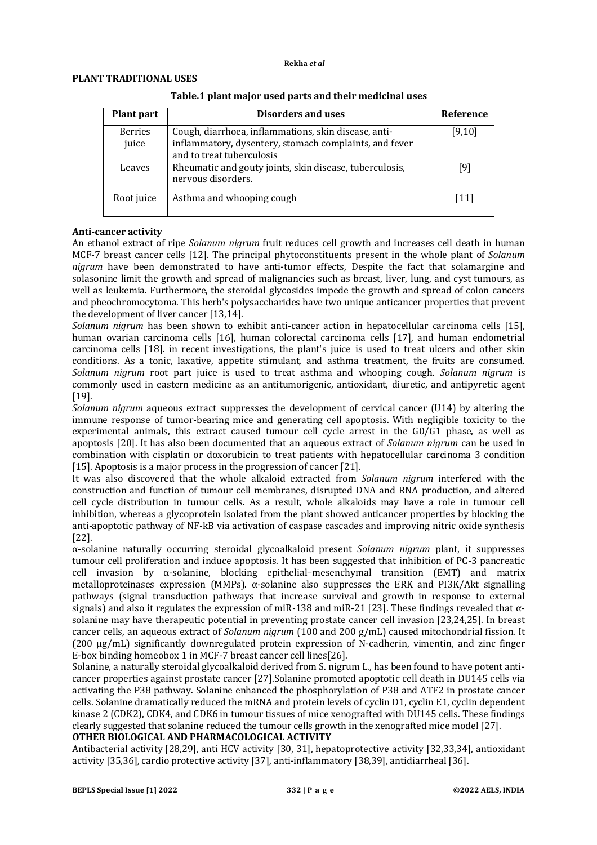#### **Rekha** *et al*

## **PLANT TRADITIONAL USES**

| <b>Plant part</b>       | <b>Disorders and uses</b>                                                                                                                   | Reference                    |
|-------------------------|---------------------------------------------------------------------------------------------------------------------------------------------|------------------------------|
| <b>Berries</b><br>juice | Cough, diarrhoea, inflammations, skin disease, anti-<br>inflammatory, dysentery, stomach complaints, and fever<br>and to treat tuberculosis | [9,10]                       |
| Leaves                  | Rheumatic and gouty joints, skin disease, tuberculosis,<br>nervous disorders.                                                               | [9]                          |
| Root juice              | Asthma and whooping cough                                                                                                                   | $\left\lceil 11\right\rceil$ |

## **Table.1 plant major used parts and their medicinal uses**

## **Anti-cancer activity**

An ethanol extract of ripe *Solanum nigrum* fruit reduces cell growth and increases cell death in human MCF-7 breast cancer cells [12]. The principal phytoconstituents present in the whole plant of *Solanum nigrum* have been demonstrated to have anti-tumor effects, Despite the fact that solamargine and solasonine limit the growth and spread of malignancies such as breast, liver, lung, and cyst tumours, as well as leukemia. Furthermore, the steroidal glycosides impede the growth and spread of colon cancers and pheochromocytoma. This herb's polysaccharides have two unique anticancer properties that prevent the development of liver cancer [13,14].

*Solanum nigrum* has been shown to exhibit anti-cancer action in hepatocellular carcinoma cells [15], human ovarian carcinoma cells [16], human colorectal carcinoma cells [17], and human endometrial carcinoma cells [18]. in recent investigations, the plant's juice is used to treat ulcers and other skin conditions. As a tonic, laxative, appetite stimulant, and asthma treatment, the fruits are consumed. *Solanum nigrum* root part juice is used to treat asthma and whooping cough. *Solanum nigrum* is commonly used in eastern medicine as an antitumorigenic, antioxidant, diuretic, and antipyretic agent [19].

*Solanum nigrum* aqueous extract suppresses the development of cervical cancer (U14) by altering the immune response of tumor-bearing mice and generating cell apoptosis. With negligible toxicity to the experimental animals, this extract caused tumour cell cycle arrest in the G0/G1 phase, as well as apoptosis [20]. It has also been documented that an aqueous extract of *Solanum nigrum* can be used in combination with cisplatin or doxorubicin to treat patients with hepatocellular carcinoma 3 condition [15]. Apoptosis is a major process in the progression of cancer [21].

It was also discovered that the whole alkaloid extracted from *Solanum nigrum* interfered with the construction and function of tumour cell membranes, disrupted DNA and RNA production, and altered cell cycle distribution in tumour cells. As a result, whole alkaloids may have a role in tumour cell inhibition, whereas a glycoprotein isolated from the plant showed anticancer properties by blocking the anti-apoptotic pathway of NF-kB via activation of caspase cascades and improving nitric oxide synthesis [22].

α-solanine naturally occurring steroidal glycoalkaloid present *Solanum nigrum* plant, it suppresses tumour cell proliferation and induce apoptosis. It has been suggested that inhibition of PC-3 pancreatic cell invasion by α-solanine, blocking epithelial–mesenchymal transition (EMT) and matrix metalloproteinases expression (MMPs). α-solanine also suppresses the ERK and PI3K/Akt signalling pathways (signal transduction pathways that increase survival and growth in response to external signals) and also it regulates the expression of miR-138 and miR-21 [23]. These findings revealed that  $\alpha$ solanine may have therapeutic potential in preventing prostate cancer cell invasion [23,24,25]. In breast cancer cells, an aqueous extract of *Solanum nigrum* (100 and 200 g/mL) caused mitochondrial fission. It (200 μg/mL) significantly downregulated protein expression of N‐cadherin, vimentin, and zinc finger E-box binding homeobox 1 in MCF-7 breast cancer cell lines[26].

Solanine, a naturally steroidal glycoalkaloid derived from S. nigrum L., has been found to have potent anticancer properties against prostate cancer [27].Solanine promoted apoptotic cell death in DU145 cells via activating the P38 pathway. Solanine enhanced the phosphorylation of P38 and ATF2 in prostate cancer cells. Solanine dramatically reduced the mRNA and protein levels of cyclin D1, cyclin E1, cyclin dependent kinase 2 (CDK2), CDK4, and CDK6 in tumour tissues of mice xenografted with DU145 cells. These findings clearly suggested that solanine reduced the tumour cells growth in the xenografted mice model [27].

## **OTHER BIOLOGICAL AND PHARMACOLOGICAL ACTIVITY**

Antibacterial activity [28,29], anti HCV activity [30, 31], hepatoprotective activity [32,33,34], antioxidant activity [35,36], cardio protective activity [37], anti-inflammatory [38,39], antidiarrheal [36].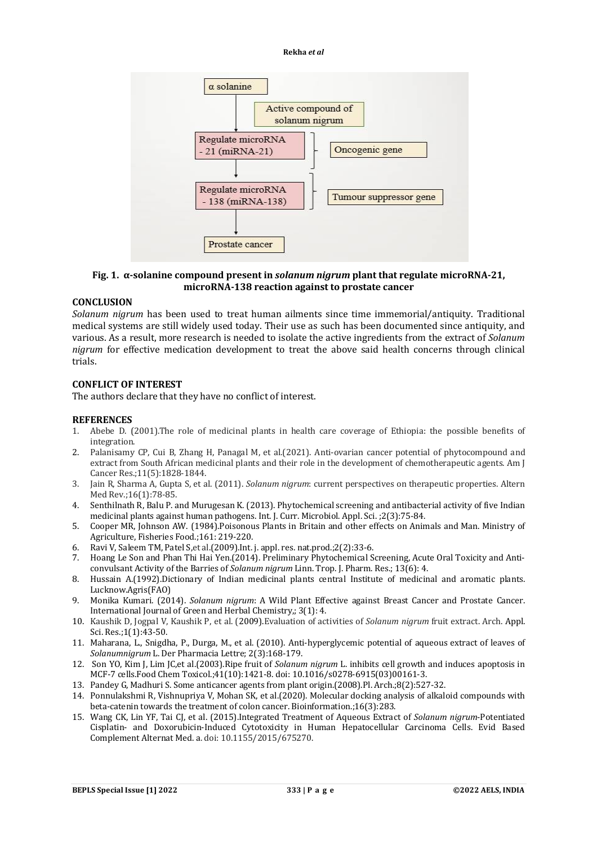#### **Rekha** *et al*



## **Fig. 1. α-solanine compound present in** *solanum nigrum* **plant that regulate microRNA-21, microRNA-138 reaction against to prostate cancer**

## **CONCLUSION**

*Solanum nigrum* has been used to treat human ailments since time immemorial/antiquity. Traditional medical systems are still widely used today. Their use as such has been documented since antiquity, and various. As a result, more research is needed to isolate the active ingredients from the extract of *Solanum nigrum* for effective medication development to treat the above said health concerns through clinical trials.

### **CONFLICT OF INTEREST**

The authors declare that they have no conflict of interest.

#### **REFERENCES**

- 1. Abebe D. (2001).The role of medicinal plants in health care coverage of Ethiopia: the possible benefits of integration.
- 2. Palanisamy CP, Cui B, Zhang H, Panagal M, et al.(2021). Anti-ovarian cancer potential of phytocompound and extract from South African medicinal plants and their role in the development of chemotherapeutic agents. Am J Cancer Res.;11(5):1828-1844.
- 3. Jain R, Sharma A, Gupta S, et al. (2011). *Solanum nigrum*: current perspectives on therapeutic properties. Altern Med Rev.;16(1):78-85.
- 4. Senthilnath R, Balu P. and Murugesan K. (2013). Phytochemical screening and antibacterial activity of five Indian medicinal plants against human pathogens. Int. J. Curr. Microbiol. Appl. Sci. ;2(3):75-84.
- 5. Cooper MR, Johnson AW. (1984).Poisonous Plants in Britain and other effects on Animals and Man. Ministry of Agriculture, Fisheries Food.;161: 219-220.
- 6. Ravi V, Saleem TM, Patel S,et al.(2009).Int. j. appl. res. nat.prod.;2(2):33-6.
- 7. Hoang Le Son and Phan Thi Hai Yen.(2014). Preliminary Phytochemical Screening, Acute Oral Toxicity and Anticonvulsant Activity of the Barries of *Solanum nigrum* Linn. Trop. J. Pharm. Res.; 13(6): 4.
- 8. Hussain A.(1992).Dictionary of Indian medicinal plants central Institute of medicinal and aromatic plants. Lucknow.Agris(FAO)
- 9. Monika Kumari. (2014). *Solanum nigrum*: A Wild Plant Effective against Breast Cancer and Prostate Cancer. International Journal of Green and Herbal Chemistry,; 3(1): 4.
- 10. Kaushik D, Jogpal V, Kaushik P, et al. (2009).Evaluation of activities of *Solanum nigrum* fruit extract. Arch. Appl. Sci. Res.;1(1):43-50.
- 11. Maharana, L., Snigdha, P., Durga, M., et al. (2010). Anti-hyperglycemic potential of aqueous extract of leaves of *Solanumnigrum* L. Der Pharmacia Lettre; 2(3):168-179.
- 12. Son YO, Kim J, Lim JC,et al.(2003).Ripe fruit of *Solanum nigrum* L. inhibits cell growth and induces apoptosis in MCF-7 cells.Food Chem Toxicol.;41(10):1421-8. doi: 10.1016/s0278-6915(03)00161-3.
- 13. Pandey G, Madhuri S. Some anticancer agents from plant origin.(2008).Pl. Arch.;8(2):527-32.
- 14. Ponnulakshmi R, Vishnupriya V, Mohan SK, et al.(2020). Molecular docking analysis of alkaloid compounds with beta-catenin towards the treatment of colon cancer. Bioinformation.;16(3):283.
- 15. Wang CK, Lin YF, Tai CJ, et al. (2015).Integrated Treatment of Aqueous Extract of *Solanum nigrum*-Potentiated Cisplatin- and Doxorubicin-Induced Cytotoxicity in Human Hepatocellular Carcinoma Cells. Evid Based Complement Alternat Med. a. doi: 10.1155/2015/675270.